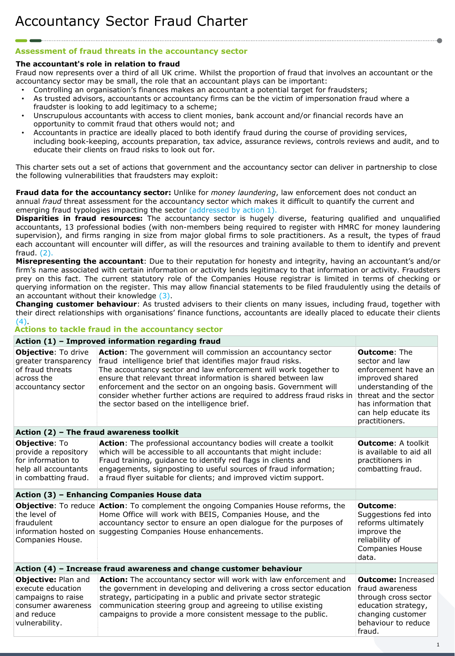## **Assessment of fraud threats in the accountancy sector**

### **The accountant's role in relation to fraud**

Fraud now represents over a third of all UK crime. Whilst the proportion of fraud that involves an accountant or the accountancy sector may be small, the role that an accountant plays can be important:

- Controlling an organisation's finances makes an accountant a potential target for fraudsters;
- As trusted advisors, accountants or accountancy firms can be the victim of impersonation fraud where a fraudster is looking to add legitimacy to a scheme;
- Unscrupulous accountants with access to client monies, bank account and/or financial records have an opportunity to commit fraud that others would not; and
- Accountants in practice are ideally placed to both identify fraud during the course of providing services, including book-keeping, accounts preparation, tax advice, assurance reviews, controls reviews and audit, and to educate their clients on fraud risks to look out for.

This charter sets out a set of actions that government and the accountancy sector can deliver in partnership to close the following vulnerabilities that fraudsters may exploit:

**Fraud data for the accountancy sector:** Unlike for *money laundering*, law enforcement does not conduct an annual *fraud* threat assessment for the accountancy sector which makes it difficult to quantify the current and emerging fraud typologies impacting the sector (addressed by action 1).

**Disparities in fraud resources:** The accountancy sector is hugely diverse, featuring qualified and unqualified accountants, 13 professional bodies (with non-members being required to register with HMRC for money laundering supervision), and firms ranging in size from major global firms to sole practitioners. As a result, the types of fraud each accountant will encounter will differ, as will the resources and training available to them to identify and prevent fraud. (2).

**Misrepresenting the accountant**: Due to their reputation for honesty and integrity, having an accountant's and/or firm's name associated with certain information or activity lends legitimacy to that information or activity. Fraudsters prey on this fact. The current statutory role of the Companies House registrar is limited in terms of checking or querying information on the register. This may allow financial statements to be filed fraudulently using the details of an accountant without their knowledge (3).

**Changing customer behaviour**: As trusted advisers to their clients on many issues, including fraud, together with their direct relationships with organisations' finance functions, accountants are ideally placed to educate their clients (4).

### **Actions to tackle fraud in the accountancy sector**

#### **Action (3) – Enhancing Companies House data Objective**: To reduce **Action**: To complement the ongoing Companies House reforms, the the level of fraudulent information hosted on suggesting Companies House enhancements. Companies House. Home Office will work with BEIS, Companies House, and the accountancy sector to ensure an open dialogue for the purposes of **Outcome**: Suggestions fed into reforms ultimately improve the reliability of Companies House data. **Action (2) – The fraud awareness toolkit Objective**: To provide a repository for information to help all accountants in combatting fraud. **Action**: The professional accountancy bodies will create a toolkit which will be accessible to all accountants that might include: Fraud training, guidance to identify red flags in clients and engagements, signposting to useful sources of fraud information; a fraud flyer suitable for clients; and improved victim support. **Outcome**: A toolkit is available to aid all practitioners in combatting fraud. **Action (4) – Increase fraud awareness and change customer behaviour Objective:** Plan and execute education campaigns to raise consumer awareness and reduce vulnerability. **Action:** The accountancy sector will work with law enforcement and the government in developing and delivering a cross sector education strategy, participating in a public and private sector strategic communication steering group and agreeing to utilise existing campaigns to provide a more consistent message to the public. **Outcome:** Increased fraud awareness through cross sector education strategy, changing customer behaviour to reduce fraud. **Action (1) – Improved information regarding fraud Objective**: To drive greater transparency of fraud threats across the accountancy sector **Action**: The government will commission an accountancy sector fraud intelligence brief that identifies major fraud risks. The accountancy sector and law enforcement will work together to ensure that relevant threat information is shared between law enforcement and the sector on an ongoing basis. Government will consider whether further actions are required to address fraud risks in the sector based on the intelligence brief. **Outcome**: The sector and law enforcement have an improved shared understanding of the threat and the sector has information that can help educate its practitioners.